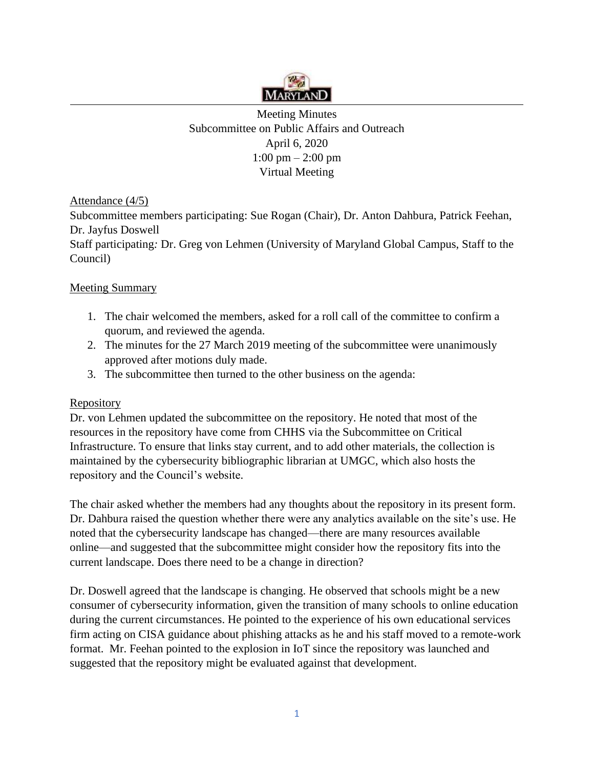

Meeting Minutes Subcommittee on Public Affairs and Outreach April 6, 2020 1:00 pm – 2:00 pm Virtual Meeting

Attendance (4/5)

Subcommittee members participating: Sue Rogan (Chair), Dr. Anton Dahbura, Patrick Feehan, Dr. Jayfus Doswell

Staff participating*:* Dr. Greg von Lehmen (University of Maryland Global Campus, Staff to the Council)

## Meeting Summary

- 1. The chair welcomed the members, asked for a roll call of the committee to confirm a quorum, and reviewed the agenda.
- 2. The minutes for the 27 March 2019 meeting of the subcommittee were unanimously approved after motions duly made.
- 3. The subcommittee then turned to the other business on the agenda:

## Repository

Dr. von Lehmen updated the subcommittee on the repository. He noted that most of the resources in the repository have come from CHHS via the Subcommittee on Critical Infrastructure. To ensure that links stay current, and to add other materials, the collection is maintained by the cybersecurity bibliographic librarian at UMGC, which also hosts the repository and the Council's website.

The chair asked whether the members had any thoughts about the repository in its present form. Dr. Dahbura raised the question whether there were any analytics available on the site's use. He noted that the cybersecurity landscape has changed—there are many resources available online—and suggested that the subcommittee might consider how the repository fits into the current landscape. Does there need to be a change in direction?

Dr. Doswell agreed that the landscape is changing. He observed that schools might be a new consumer of cybersecurity information, given the transition of many schools to online education during the current circumstances. He pointed to the experience of his own educational services firm acting on CISA guidance about phishing attacks as he and his staff moved to a remote-work format. Mr. Feehan pointed to the explosion in IoT since the repository was launched and suggested that the repository might be evaluated against that development.